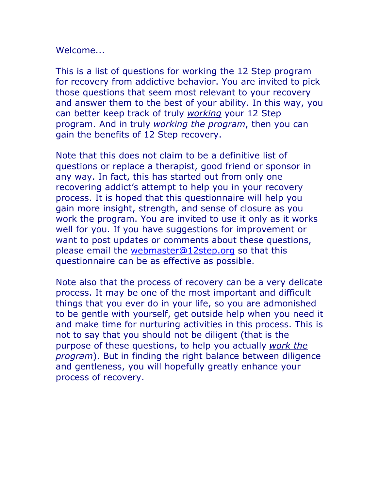### Welcome...

This is a list of questions for working the 12 Step program for recovery from addictive behavior. You are invited to pick those questions that seem most relevant to your recovery and answer them to the best of your ability. In this way, you can better keep track of truly *working* your 12 Step program. And in truly *working the program*, then you can gain the benefits of 12 Step recovery.

Note that this does not claim to be a definitive list of questions or replace a therapist, good friend or sponsor in any way. In fact, this has started out from only one recovering addict's attempt to help you in your recovery process. It is hoped that this questionnaire will help you gain more insight, strength, and sense of closure as you work the program. You are invited to use it only as it works well for you. If you have suggestions for improvement or want to post updates or comments about these questions, please email the webmaster@12step.org so that this questionnaire can be as effective as possible.

Note also that the process of recovery can be a very delicate process. It may be one of the most important and difficult things that you ever do in your life, so you are admonished to be gentle with yourself, get outside help when you need it and make time for nurturing activities in this process. This is not to say that you should not be diligent (that is the purpose of these questions, to help you actually *work the program*). But in finding the right balance between diligence and gentleness, you will hopefully greatly enhance your process of recovery.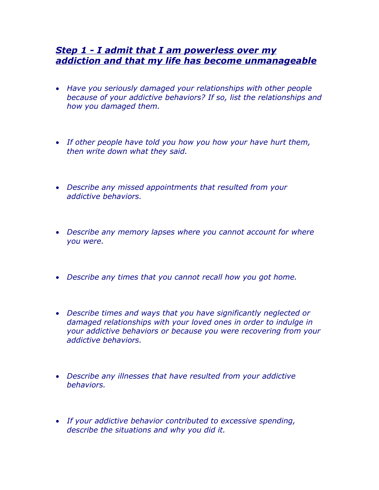### *Step 1 - I admit that I am powerless over my addiction and that my life has become unmanageable*

- *Have you seriously damaged your relationships with other people because of your addictive behaviors? If so, list the relationships and how you damaged them.*
- *If other people have told you how you how your have hurt them, then write down what they said.*
- *Describe any missed appointments that resulted from your addictive behaviors.*
- *Describe any memory lapses where you cannot account for where you were.*
- *Describe any times that you cannot recall how you got home.*
- *Describe times and ways that you have significantly neglected or damaged relationships with your loved ones in order to indulge in your addictive behaviors or because you were recovering from your addictive behaviors.*
- *Describe any illnesses that have resulted from your addictive behaviors.*
- *If your addictive behavior contributed to excessive spending, describe the situations and why you did it.*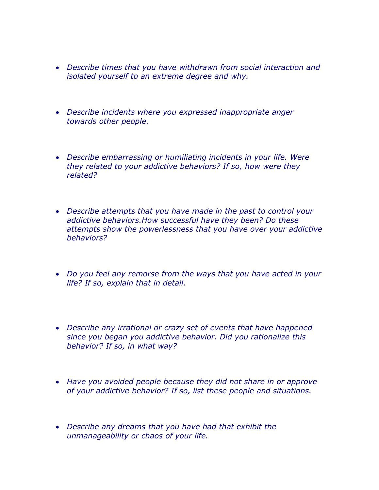- *Describe times that you have withdrawn from social interaction and isolated yourself to an extreme degree and why.*
- *Describe incidents where you expressed inappropriate anger towards other people.*
- *Describe embarrassing or humiliating incidents in your life. Were they related to your addictive behaviors? If so, how were they related?*
- *Describe attempts that you have made in the past to control your addictive behaviors.How successful have they been? Do these attempts show the powerlessness that you have over your addictive behaviors?*
- *Do you feel any remorse from the ways that you have acted in your life? If so, explain that in detail.*
- *Describe any irrational or crazy set of events that have happened since you began you addictive behavior. Did you rationalize this behavior? If so, in what way?*
- *Have you avoided people because they did not share in or approve of your addictive behavior? If so, list these people and situations.*
- *Describe any dreams that you have had that exhibit the unmanageability or chaos of your life.*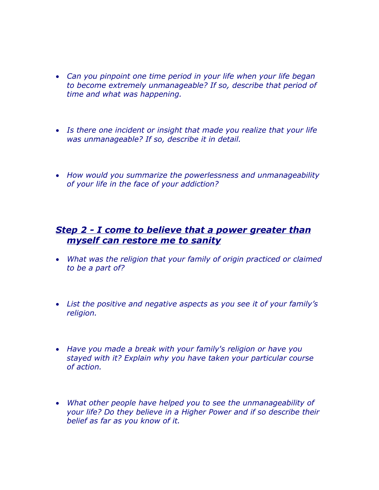- *Can you pinpoint one time period in your life when your life began to become extremely unmanageable? If so, describe that period of time and what was happening.*
- *Is there one incident or insight that made you realize that your life was unmanageable? If so, describe it in detail.*
- *How would you summarize the powerlessness and unmanageability of your life in the face of your addiction?*

# *Step 2 - I come to believe that a power greater than myself can restore me to sanity*

- *What was the religion that your family of origin practiced or claimed to be a part of?*
- *List the positive and negative aspects as you see it of your family's religion.*
- *Have you made a break with your family's religion or have you stayed with it? Explain why you have taken your particular course of action.*
- *What other people have helped you to see the unmanageability of your life? Do they believe in a Higher Power and if so describe their belief as far as you know of it.*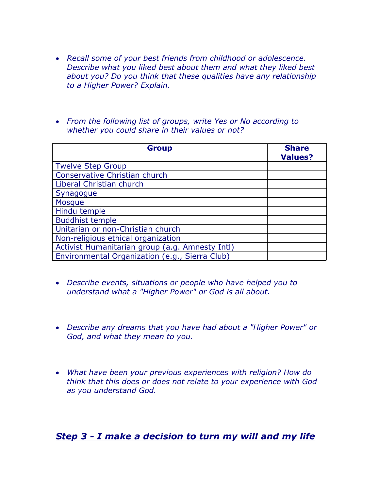- *Recall some of your best friends from childhood or adolescence. Describe what you liked best about them and what they liked best about you? Do you think that these qualities have any relationship to a Higher Power? Explain.*
- *From the following list of groups, write Yes or No according to whether you could share in their values or not?*

| <b>Group</b>                                    | <b>Share</b><br><b>Values?</b> |
|-------------------------------------------------|--------------------------------|
| <b>Twelve Step Group</b>                        |                                |
| Conservative Christian church                   |                                |
| Liberal Christian church                        |                                |
| Synagogue                                       |                                |
| <b>Mosque</b>                                   |                                |
| Hindu temple                                    |                                |
| <b>Buddhist temple</b>                          |                                |
| Unitarian or non-Christian church               |                                |
| Non-religious ethical organization              |                                |
| Activist Humanitarian group (a.g. Amnesty Intl) |                                |
| Environmental Organization (e.g., Sierra Club)  |                                |

- *Describe events, situations or people who have helped you to understand what a "Higher Power" or God is all about.*
- *Describe any dreams that you have had about a "Higher Power" or God, and what they mean to you.*
- *What have been your previous experiences with religion? How do think that this does or does not relate to your experience with God as you understand God.*

*Step 3 - I make a decision to turn my will and my life*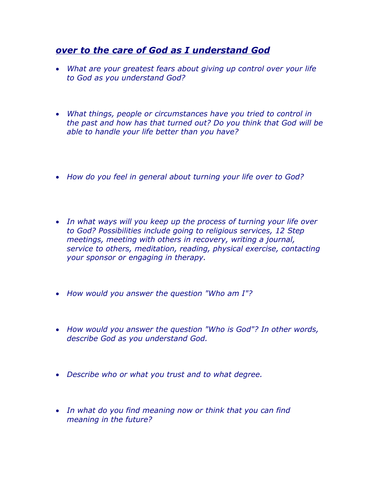# *over to the care of God as I understand God*

- *What are your greatest fears about giving up control over your life to God as you understand God?*
- *What things, people or circumstances have you tried to control in the past and how has that turned out? Do you think that God will be able to handle your life better than you have?*
- *How do you feel in general about turning your life over to God?*
- *In what ways will you keep up the process of turning your life over to God? Possibilities include going to religious services, 12 Step meetings, meeting with others in recovery, writing a journal, service to others, meditation, reading, physical exercise, contacting your sponsor or engaging in therapy.*
- *How would you answer the question "Who am I"?*
- *How would you answer the question "Who is God"? In other words, describe God as you understand God.*
- *Describe who or what you trust and to what degree.*
- *In what do you find meaning now or think that you can find meaning in the future?*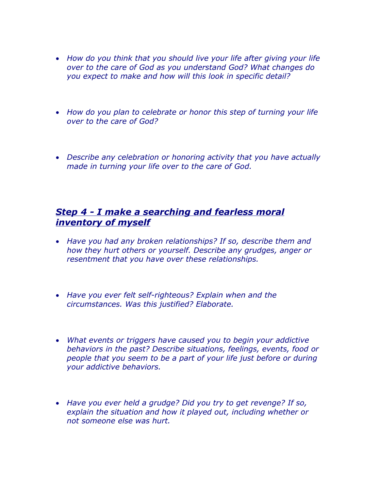- *How do you think that you should live your life after giving your life over to the care of God as you understand God? What changes do you expect to make and how will this look in specific detail?*
- *How do you plan to celebrate or honor this step of turning your life over to the care of God?*
- *Describe any celebration or honoring activity that you have actually made in turning your life over to the care of God.*

### *Step 4 - I make a searching and fearless moral inventory of myself*

- *Have you had any broken relationships? If so, describe them and how they hurt others or yourself. Describe any grudges, anger or resentment that you have over these relationships.*
- *Have you ever felt self-righteous? Explain when and the circumstances. Was this justified? Elaborate.*
- *What events or triggers have caused you to begin your addictive behaviors in the past? Describe situations, feelings, events, food or people that you seem to be a part of your life just before or during your addictive behaviors.*
- *Have you ever held a grudge? Did you try to get revenge? If so, explain the situation and how it played out, including whether or not someone else was hurt.*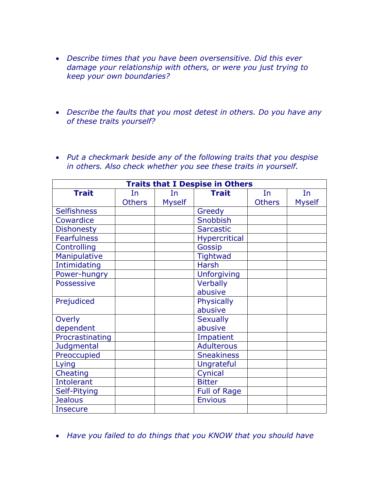- *Describe times that you have been oversensitive. Did this ever damage your relationship with others, or were you just trying to keep your own boundaries?*
- *Describe the faults that you most detest in others. Do you have any of these traits yourself?*
- *Put a checkmark beside any of the following traits that you despise in others. Also check whether you see these traits in yourself.*

| <b>Traits that I Despise in Others</b> |               |               |                      |               |               |  |
|----------------------------------------|---------------|---------------|----------------------|---------------|---------------|--|
| <b>Trait</b>                           | In            | In            | <b>Trait</b>         | In            | In            |  |
|                                        | <b>Others</b> | <b>Myself</b> |                      | <b>Others</b> | <b>Myself</b> |  |
| <b>Selfishness</b>                     |               |               | Greedy               |               |               |  |
| Cowardice                              |               |               | Snobbish             |               |               |  |
| <b>Dishonesty</b>                      |               |               | <b>Sarcastic</b>     |               |               |  |
| <b>Fearfulness</b>                     |               |               | <b>Hypercritical</b> |               |               |  |
| Controlling                            |               |               | Gossip               |               |               |  |
| Manipulative                           |               |               | <b>Tightwad</b>      |               |               |  |
| Intimidating                           |               |               | <b>Harsh</b>         |               |               |  |
| Power-hungry                           |               |               | <b>Unforgiving</b>   |               |               |  |
| <b>Possessive</b>                      |               |               | Verbally             |               |               |  |
|                                        |               |               | abusive              |               |               |  |
| Prejudiced                             |               |               | <b>Physically</b>    |               |               |  |
|                                        |               |               | abusive              |               |               |  |
| Overly                                 |               |               | <b>Sexually</b>      |               |               |  |
| dependent                              |               |               | abusive              |               |               |  |
| Procrastinating                        |               |               | Impatient            |               |               |  |
| Judgmental                             |               |               | <b>Adulterous</b>    |               |               |  |
| Preoccupied                            |               |               | <b>Sneakiness</b>    |               |               |  |
| Lying                                  |               |               | Ungrateful           |               |               |  |
| Cheating                               |               |               | Cynical              |               |               |  |
| <b>Intolerant</b>                      |               |               | <b>Bitter</b>        |               |               |  |
| Self-Pitying                           |               |               | <b>Full of Rage</b>  |               |               |  |
| <b>Jealous</b>                         |               |               | <b>Envious</b>       |               |               |  |
| <b>Insecure</b>                        |               |               |                      |               |               |  |

*Have you failed to do things that you KNOW that you should have*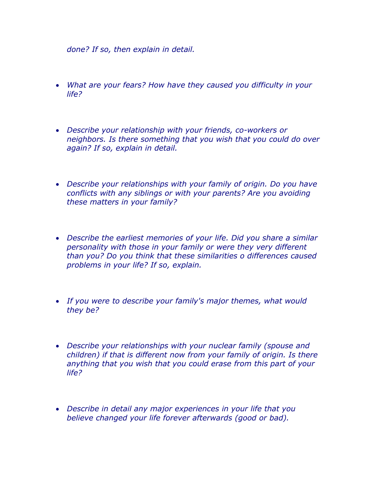*done? If so, then explain in detail.*

- *What are your fears? How have they caused you difficulty in your life?*
- *Describe your relationship with your friends, co-workers or neighbors. Is there something that you wish that you could do over again? If so, explain in detail.*
- *Describe your relationships with your family of origin. Do you have conflicts with any siblings or with your parents? Are you avoiding these matters in your family?*
- *Describe the earliest memories of your life. Did you share a similar personality with those in your family or were they very different than you? Do you think that these similarities o differences caused problems in your life? If so, explain.*
- *If you were to describe your family's major themes, what would they be?*
- *Describe your relationships with your nuclear family (spouse and children) if that is different now from your family of origin. Is there anything that you wish that you could erase from this part of your life?*
- *Describe in detail any major experiences in your life that you believe changed your life forever afterwards (good or bad).*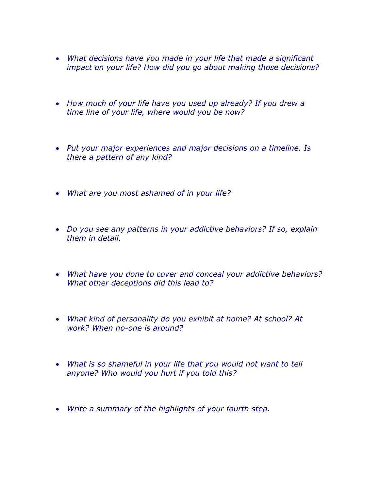- *What decisions have you made in your life that made a significant impact on your life? How did you go about making those decisions?*
- *How much of your life have you used up already? If you drew a time line of your life, where would you be now?*
- *Put your major experiences and major decisions on a timeline. Is there a pattern of any kind?*
- *What are you most ashamed of in your life?*
- *Do you see any patterns in your addictive behaviors? If so, explain them in detail.*
- *What have you done to cover and conceal your addictive behaviors? What other deceptions did this lead to?*
- *What kind of personality do you exhibit at home? At school? At work? When no-one is around?*
- *What is so shameful in your life that you would not want to tell anyone? Who would you hurt if you told this?*
- *Write a summary of the highlights of your fourth step.*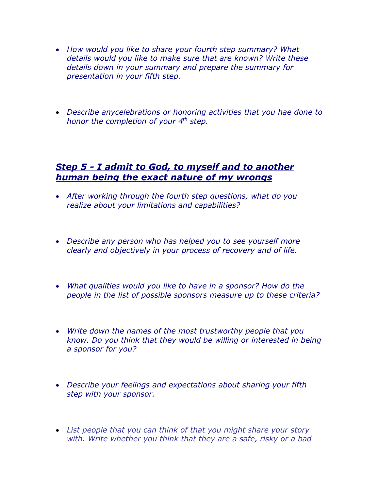- *How would you like to share your fourth step summary? What details would you like to make sure that are known? Write these details down in your summary and prepare the summary for presentation in your fifth step.*
- *Describe anycelebrations or honoring activities that you hae done to honor the completion of your 4th step.*

#### *Step 5 - I admit to God, to myself and to another human being the exact nature of my wrongs*

- *After working through the fourth step questions, what do you realize about your limitations and capabilities?*
- *Describe any person who has helped you to see yourself more clearly and objectively in your process of recovery and of life.*
- *What qualities would you like to have in a sponsor? How do the people in the list of possible sponsors measure up to these criteria?*
- *Write down the names of the most trustworthy people that you know. Do you think that they would be willing or interested in being a sponsor for you?*
- *Describe your feelings and expectations about sharing your fifth step with your sponsor.*
- *List people that you can think of that you might share your story with. Write whether you think that they are a safe, risky or a bad*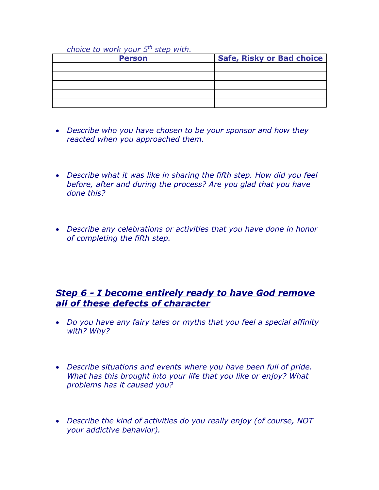#### *choice to work your 5th step with.*

| <b>Person</b> | Safe, Risky or Bad choice |
|---------------|---------------------------|
|               |                           |
|               |                           |
|               |                           |
|               |                           |
|               |                           |

- *Describe who you have chosen to be your sponsor and how they reacted when you approached them.*
- *Describe what it was like in sharing the fifth step. How did you feel before, after and during the process? Are you glad that you have done this?*
- *Describe any celebrations or activities that you have done in honor of completing the fifth step.*

# *Step 6 - I become entirely ready to have God remove all of these defects of character*

- *Do you have any fairy tales or myths that you feel a special affinity with? Why?*
- *Describe situations and events where you have been full of pride. What has this brought into your life that you like or enjoy? What problems has it caused you?*
- *Describe the kind of activities do you really enjoy (of course, NOT your addictive behavior).*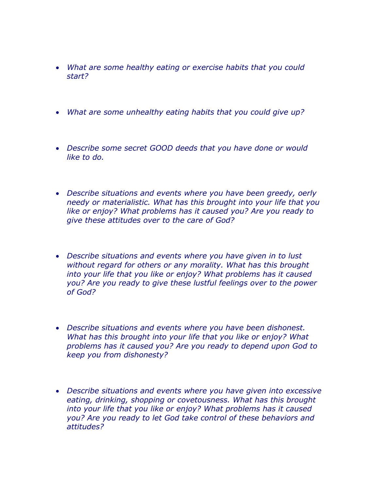- *What are some healthy eating or exercise habits that you could start?*
- *What are some unhealthy eating habits that you could give up?*
- *Describe some secret GOOD deeds that you have done or would like to do.*
- *Describe situations and events where you have been greedy, oerly needy or materialistic. What has this brought into your life that you like or enjoy? What problems has it caused you? Are you ready to give these attitudes over to the care of God?*
- *Describe situations and events where you have given in to lust without regard for others or any morality. What has this brought into your life that you like or enjoy? What problems has it caused you? Are you ready to give these lustful feelings over to the power of God?*
- *Describe situations and events where you have been dishonest. What has this brought into your life that you like or enjoy? What problems has it caused you? Are you ready to depend upon God to keep you from dishonesty?*
- *Describe situations and events where you have given into excessive eating, drinking, shopping or covetousness. What has this brought into your life that you like or enjoy? What problems has it caused you? Are you ready to let God take control of these behaviors and attitudes?*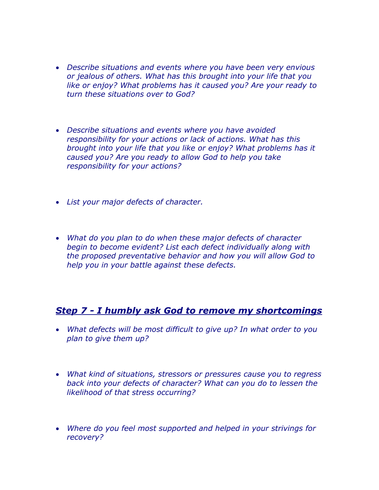- *Describe situations and events where you have been very envious or jealous of others. What has this brought into your life that you like or enjoy? What problems has it caused you? Are your ready to turn these situations over to God?*
- *Describe situations and events where you have avoided responsibility for your actions or lack of actions. What has this brought into your life that you like or enjoy? What problems has it caused you? Are you ready to allow God to help you take responsibility for your actions?*
- *List your major defects of character.*
- *What do you plan to do when these major defects of character begin to become evident? List each defect individually along with the proposed preventative behavior and how you will allow God to help you in your battle against these defects.*

### *Step 7 - I humbly ask God to remove my shortcomings*

- *What defects will be most difficult to give up? In what order to you plan to give them up?*
- *What kind of situations, stressors or pressures cause you to regress back into your defects of character? What can you do to lessen the likelihood of that stress occurring?*
- *Where do you feel most supported and helped in your strivings for recovery?*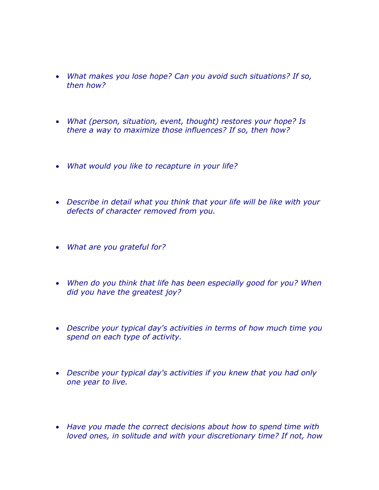- *What makes you lose hope? Can you avoid such situations? If so, then how?*
- *What (person, situation, event, thought) restores your hope? Is there a way to maximize those influences? If so, then how?*
- *What would you like to recapture in your life?*
- *Describe in detail what you think that your life will be like with your defects of character removed from you.*
- *What are you grateful for?*
- *When do you think that life has been especially good for you? When did you have the greatest joy?*
- *Describe your typical day's activities in terms of how much time you spend on each type of activity.*
- *Describe your typical day's activities if you knew that you had only one year to live.*
- *Have you made the correct decisions about how to spend time with loved ones, in solitude and with your discretionary time? If not, how*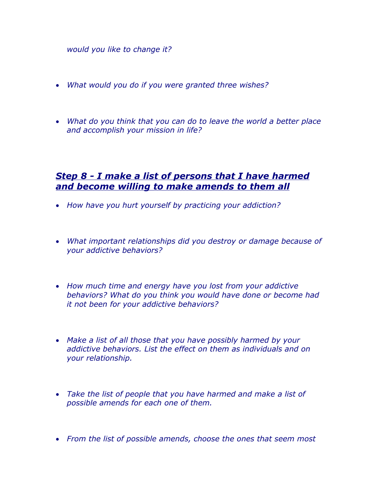*would you like to change it?*

- *What would you do if you were granted three wishes?*
- *What do you think that you can do to leave the world a better place and accomplish your mission in life?*

# *Step 8 - I make a list of persons that I have harmed and become willing to make amends to them all*

- *How have you hurt yourself by practicing your addiction?*
- *What important relationships did you destroy or damage because of your addictive behaviors?*
- *How much time and energy have you lost from your addictive behaviors? What do you think you would have done or become had it not been for your addictive behaviors?*
- *Make a list of all those that you have possibly harmed by your addictive behaviors. List the effect on them as individuals and on your relationship.*
- *Take the list of people that you have harmed and make a list of possible amends for each one of them.*
- *From the list of possible amends, choose the ones that seem most*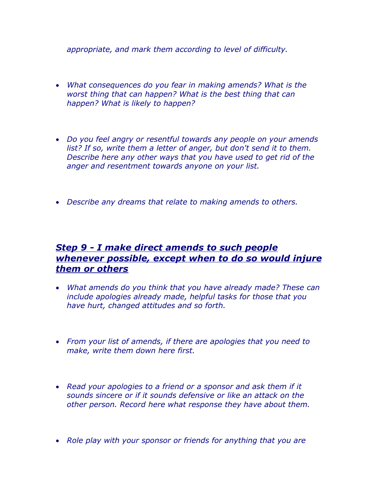*appropriate, and mark them according to level of difficulty.*

- *What consequences do you fear in making amends? What is the worst thing that can happen? What is the best thing that can happen? What is likely to happen?*
- *Do you feel angry or resentful towards any people on your amends list? If so, write them a letter of anger, but don't send it to them. Describe here any other ways that you have used to get rid of the anger and resentment towards anyone on your list.*
- *Describe any dreams that relate to making amends to others.*

# *Step 9 - I make direct amends to such people whenever possible, except when to do so would injure them or others*

- *What amends do you think that you have already made? These can include apologies already made, helpful tasks for those that you have hurt, changed attitudes and so forth.*
- *From your list of amends, if there are apologies that you need to make, write them down here first.*
- *Read your apologies to a friend or a sponsor and ask them if it sounds sincere or if it sounds defensive or like an attack on the other person. Record here what response they have about them.*
- *Role play with your sponsor or friends for anything that you are*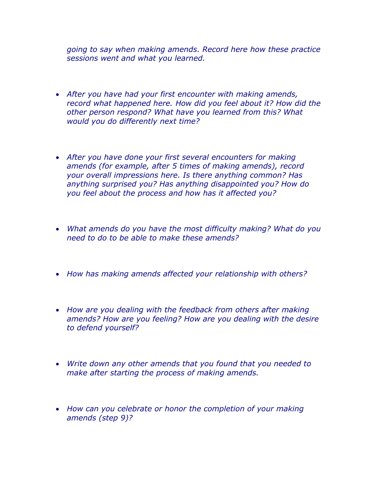*going to say when making amends. Record here how these practice sessions went and what you learned.*

- *After you have had your first encounter with making amends, record what happened here. How did you feel about it? How did the other person respond? What have you learned from this? What would you do differently next time?*
- *After you have done your first several encounters for making amends (for example, after 5 times of making amends), record your overall impressions here. Is there anything common? Has anything surprised you? Has anything disappointed you? How do you feel about the process and how has it affected you?*
- *What amends do you have the most difficulty making? What do you need to do to be able to make these amends?*
- *How has making amends affected your relationship with others?*
- *How are you dealing with the feedback from others after making amends? How are you feeling? How are you dealing with the desire to defend yourself?*
- *Write down any other amends that you found that you needed to make after starting the process of making amends.*
- *How can you celebrate or honor the completion of your making amends (step 9)?*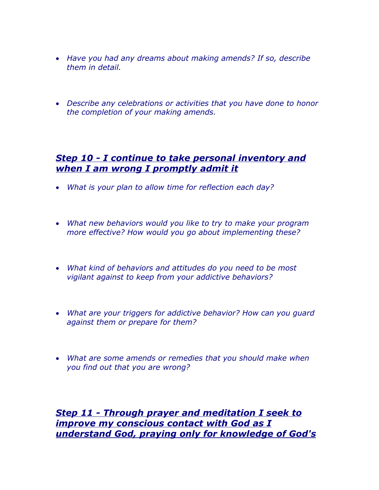- *Have you had any dreams about making amends? If so, describe them in detail.*
- *Describe any celebrations or activities that you have done to honor the completion of your making amends.*

### *Step 10 - I continue to take personal inventory and when I am wrong I promptly admit it*

- *What is your plan to allow time for reflection each day?*
- *What new behaviors would you like to try to make your program more effective? How would you go about implementing these?*
- *What kind of behaviors and attitudes do you need to be most vigilant against to keep from your addictive behaviors?*
- *What are your triggers for addictive behavior? How can you guard against them or prepare for them?*
- *What are some amends or remedies that you should make when you find out that you are wrong?*

*Step 11 - Through prayer and meditation I seek to improve my conscious contact with God as I understand God, praying only for knowledge of God's*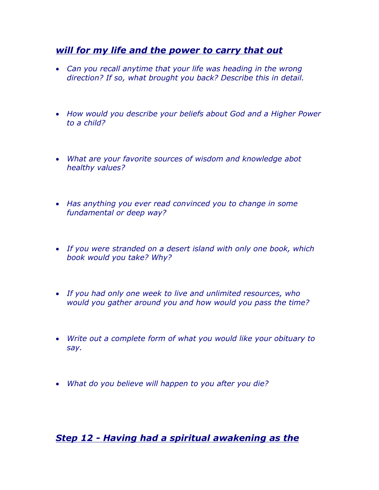# *will for my life and the power to carry that out*

- *Can you recall anytime that your life was heading in the wrong direction? If so, what brought you back? Describe this in detail.*
- *How would you describe your beliefs about God and a Higher Power to a child?*
- *What are your favorite sources of wisdom and knowledge abot healthy values?*
- *Has anything you ever read convinced you to change in some fundamental or deep way?*
- *If you were stranded on a desert island with only one book, which book would you take? Why?*
- *If you had only one week to live and unlimited resources, who would you gather around you and how would you pass the time?*
- *Write out a complete form of what you would like your obituary to say.*
- *What do you believe will happen to you after you die?*

*Step 12 - Having had a spiritual awakening as the*